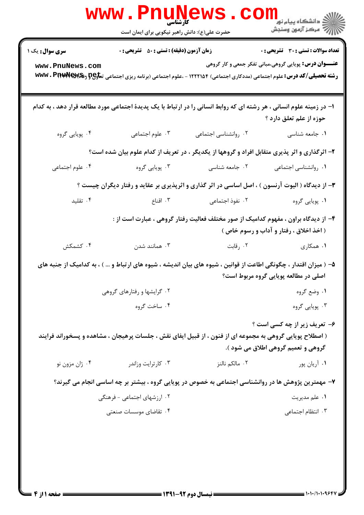|                                                                                                                                                                                  | WWW.FI<br>کارشناسی<br>حضرت علی(ع): دانش راهبر نیکویی برای ایمان است                                                                                                                                      |                      | ر دانشڪاه پيام نور "<br> 7 مرکز آزمون وسنڊش                                                                   |  |  |
|----------------------------------------------------------------------------------------------------------------------------------------------------------------------------------|----------------------------------------------------------------------------------------------------------------------------------------------------------------------------------------------------------|----------------------|---------------------------------------------------------------------------------------------------------------|--|--|
| <b>سری سوال :</b> یک ۱<br>www.PnuNews.com                                                                                                                                        | <b>زمان آزمون (دقیقه) : تستی : 50 ٪ تشریحی : 0</b><br><b>رشته تحصیلی/کد درس:</b> علوم اجتماعی (مددکاری اجتماعی) ۱۲۲۲۱۵۴ - ،علوم اجتماعی (برنامه ریزی اجتماعی ت <del>ماو2G</del> و <b>@wwv . Piture س</b> |                      | <b>تعداد سوالات : تستي : 30 ٪ تشريحي : 0</b><br><b>عنـــوان درس:</b> پویایی گروهی،مبانی تفکر جمعی و کار گروهی |  |  |
|                                                                                                                                                                                  | ا- در زمینه علوم انسانی ، هر رشته ای که روابط انسانی را در ارتباط با یک پدیدهٔ اجتماعی مورد مطالعه قرار دهد ، به کدام                                                                                    |                      | حوزه از علم تعلق دارد ؟                                                                                       |  |  |
| ۰۴ پویایی گروه                                                                                                                                                                   | ۰۳ علوم اجتماعی                                                                                                                                                                                          | ٠٢ روانشناسي اجتماعي | ۰۱ جامعه شناسی                                                                                                |  |  |
| ۲- اثرگذاری و اثر پذیری متقابل افراد و گروهها از یکدیگر ، در تعریف از کدام علوم بیان شده است؟                                                                                    |                                                                                                                                                                                                          |                      |                                                                                                               |  |  |
| ۰۴ علوم اجتماعي                                                                                                                                                                  | ۰۳ پویایی گروه                                                                                                                                                                                           | ۰۲ جامعه شناسی       | ٠١. روانشناسي اجتماعي                                                                                         |  |  |
|                                                                                                                                                                                  | ۳- از دیدگاه ( الیوت آرنسون ) ، اصل اساسی در اثر گذاری و اثرپذیری بر عقاید و رفتار دیگران چیست ؟                                                                                                         |                      |                                                                                                               |  |  |
| ۰۴ تقلید                                                                                                                                                                         | ا اقناع $\cdot$ ۳ . اقناع                                                                                                                                                                                | ۰۲ نفوذ اجتماعی      | ۰۱ پویایی گروه                                                                                                |  |  |
| ۴- از دیدگاه براون ، مفهوم کدامیک از صور مختلف فعالیت رفتار گروهی ، عبارت است از :<br>( اخذ اخلاق ، رفتار و آداب و رسوم خاص )                                                    |                                                                                                                                                                                                          |                      |                                                                                                               |  |  |
| ۰۴ کشمکش                                                                                                                                                                         | ۰۳ همانند شدن                                                                                                                                                                                            | ۰۲ رقابت             | ۰۱ همکاری                                                                                                     |  |  |
| ۵– ( میزان اقتدار ، چگونگی اطاعت از قوانین ، شیوه های بیان اندیشه ، شیوه های ارتباط و … ) ، به کدامیک از جنبه های<br>اصلی در مطالعه پویایی گروه مربوط است؟                       |                                                                                                                                                                                                          |                      |                                                                                                               |  |  |
| ۰۲ گرایشها و رفتارهای گروهی                                                                                                                                                      |                                                                                                                                                                                                          |                      | ۰۱ وضع گروه                                                                                                   |  |  |
|                                                                                                                                                                                  | ۰۴ ساخت گروه                                                                                                                                                                                             |                      | ۰۳ پویایی گروه                                                                                                |  |  |
| ۶- تعریف زیر از چه کسی است ؟<br>( اصطلاح پویایی گروهی به مجموعه ای از فنون ، از قبیل ایفای نقش ، جلسات پرهیجان ، مشاهده و پسخوراند فرایند<br>گروهي و تعميم گروهي اطلاق مي شود ). |                                                                                                                                                                                                          |                      |                                                                                                               |  |  |
| ۰۴ ژان مزون نو                                                                                                                                                                   | ۰۳ کارترایت وزاندر                                                                                                                                                                                       | ۰۲ مالکم نالنز       | ۰۱ آریان پور                                                                                                  |  |  |
| ۷– مهمترین پژوهش ها در روانشناسی اجتماعی به خصوص در پویایی گروه ، بیشتر بر چه اساسی انجام می گیرند؟                                                                              |                                                                                                                                                                                                          |                      |                                                                                                               |  |  |
|                                                                                                                                                                                  | ۲. ارزشهای اجتماعی - فرهنگی                                                                                                                                                                              |                      | ۰۱ علم مديريت                                                                                                 |  |  |
|                                                                                                                                                                                  | ۰۴ تقاضای موسسات صنعتی                                                                                                                                                                                   |                      | ۰۳ انتظام اجتماعی                                                                                             |  |  |
|                                                                                                                                                                                  |                                                                                                                                                                                                          |                      |                                                                                                               |  |  |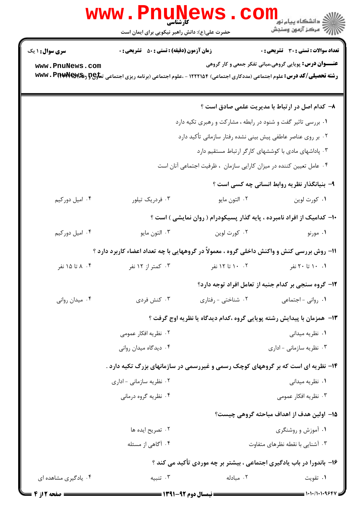|                        | <b>WWW</b> .<br><b>TEMUNE</b><br><b>کار شناسی</b><br>حضرت علی(ع): دانش راهبر نیکویی برای ایمان است |                                                                                                                                     | ر دانشڪاه پيام نور <mark>−</mark><br>ا∛ مرکز آزمون وسنڊش      |  |  |
|------------------------|----------------------------------------------------------------------------------------------------|-------------------------------------------------------------------------------------------------------------------------------------|---------------------------------------------------------------|--|--|
| <b>سری سوال :</b> ۱ یک | <b>زمان آزمون (دقیقه) : تستی : 50 ٪ تشریحی : 0</b>                                                 |                                                                                                                                     | تعداد سوالات : تستي : 30 ٪ تشريحي : 0                         |  |  |
| www.PnuNews.com        |                                                                                                    | <b>رشته تحصیلی/کد درس:</b> علوم اجتماعی (مددکاری اجتماعی) ۱۲۲۲۱۵۴ - ،علوم اجتماعی (برنامه ریزی اجتماعی ت <del>ماوP و WW</del> V . P | <b>عنـــوان درس:</b> پویایی گروهی،مبانی تفکر جمعی و کار گروهی |  |  |
|                        |                                                                                                    |                                                                                                                                     | ۸– کدام اصل در ارتباط با مدیریت علمی صادق است ؟               |  |  |
|                        |                                                                                                    | ۰۱ بررسی تاثیر گفت و شنود در رابطه ، مشارکت و رهبری تکیه دارد                                                                       |                                                               |  |  |
|                        |                                                                                                    | ۰۲ بر روی عناصر عاطفی پیش بینی نشده رفتار سازمانی تأکید دارد                                                                        |                                                               |  |  |
|                        | ۰۳ پاداشهای مادی با کوششهای کارگر ارتباط مستقیم دارد                                               |                                                                                                                                     |                                                               |  |  |
|                        |                                                                                                    | ۰۴ عامل تعیین کننده در میزان کارایی سازمان ، ظرفیت اجتماعی آنان است                                                                 |                                                               |  |  |
|                        |                                                                                                    |                                                                                                                                     | ۹- بنیانگذار نظریه روابط انسانی چه کسی است ؟                  |  |  |
| ۰۴ امیل دورکیم         | ۰۳ فردریک تیلور                                                                                    | ٠٢ التون مايو                                                                                                                       | ۰۱ کورت لوين                                                  |  |  |
|                        |                                                                                                    | ۱۰- کدامیک از افراد نامبرده ، پایه گذار پسیکودرام ( روان نمایشی ) است ؟                                                             |                                                               |  |  |
| ۰۴ امیل دورکیم         | ۰۳ التون مايو                                                                                      | ۰۲ کورت لوین                                                                                                                        | ۰۱ مورنو                                                      |  |  |
|                        |                                                                                                    | 11- روش بررسی کنش و واکنش داخلی گروه ، معمولاً در گروههایی با چه تعداد اعضاء کاربرد دارد ؟                                          |                                                               |  |  |
| ۰۴ ۸ تا ۱۵ نفر         | ۰۳ کمتر از ۱۲ نفر                                                                                  | ۰۲ ۱۰ تا ۱۲ نفر                                                                                                                     | ۰۱ ۱۰ تا ۲۰ نفر                                               |  |  |
|                        |                                                                                                    | ۱۲- گروه سنجی بر کدام جنبه از تعامل افراد توجه دارد؟                                                                                |                                                               |  |  |
| ۰۴ میدان روانی         | ۰۳ کنش فردی                                                                                        | ۰۲ شناختی - رفتاری                                                                                                                  | ٠١. رواني - اجتماعي                                           |  |  |
|                        |                                                                                                    | ۱۳- همزمان با پیدایش رشته پویایی گروه ،کدام دیدگاه یا نظریه اوج گرفت ؟                                                              |                                                               |  |  |
|                        | ۰۲ نظریه افکار عمومی                                                                               |                                                                                                                                     | ۰۱ نظریه میدانی                                               |  |  |
|                        | ۰۴ دیدگاه میدان روانی                                                                              |                                                                                                                                     | ۰۳ نظریه سازمانی - اداری                                      |  |  |
|                        |                                                                                                    | ۱۴- نظریه ای است که بر گروههای کوچک رسمی و غیررسمی در سازمانهای بزرگ تکیه دارد .                                                    |                                                               |  |  |
|                        | ۰۲ نظریه سازمانی - اداری                                                                           |                                                                                                                                     | ۰۱ نظریه میدانی                                               |  |  |
|                        | ۰۴ نظریه گروه درمانی                                                                               |                                                                                                                                     | ۰۳ نظریه افکار عمومی                                          |  |  |
|                        |                                                                                                    |                                                                                                                                     | ۱۵– اولین هدف از اهداف مباحثه گروهی چیست؟                     |  |  |
|                        | ۰۲ تصریح ایده ها                                                                                   |                                                                                                                                     | ۰۱ آموزش و روشنگری                                            |  |  |
|                        | ۰۴ آگاهی از مسئله                                                                                  |                                                                                                                                     | ۰۳ آشنایی با نقطه نظرهای متفاوت                               |  |  |
|                        |                                                                                                    | ۱۶- باندورا در باب یادگیری اجتماعی ، بیشتر بر چه موردی تأکید می کند ؟                                                               |                                                               |  |  |
| ۰۴ یادگیری مشاهده ای   | ۰۳ تنبیه                                                                                           | ۰۲ مبادله                                                                                                                           | ۰۱ تقويت                                                      |  |  |
| = صفحه 12ز 4           |                                                                                                    |                                                                                                                                     |                                                               |  |  |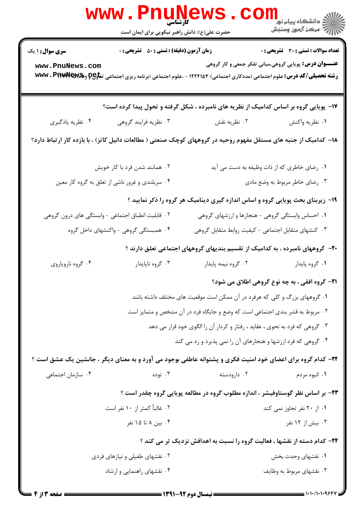|                                                                                                                  | <b>www.PnuNews</b>                                 |                                                                                                                                     | <sup>ال</sup> ڪ دانشڪاه پيام نور <sup>دا</sup><br>ا∛ مرڪز آزمون وسنجش                                         |  |  |
|------------------------------------------------------------------------------------------------------------------|----------------------------------------------------|-------------------------------------------------------------------------------------------------------------------------------------|---------------------------------------------------------------------------------------------------------------|--|--|
|                                                                                                                  | حضرت علی(ع): دانش راهبر نیکویی برای ایمان است      |                                                                                                                                     |                                                                                                               |  |  |
| <b>سری سوال : ۱ یک</b><br>www.PnuNews.com                                                                        | <b>زمان آزمون (دقیقه) : تستی : 50 ٪ تشریحی : 0</b> | <b>رشته تحصیلی/کد درس:</b> علوم اجتماعی (مددکاری اجتماعی) ۱۲۲۲۱۵۴ - ،علوم اجتماعی (برنامه ریزی اجتماعی ت <del>ماوP و WW</del> V . P | <b>تعداد سوالات : تستی : 30 ٪ تشریحی : 0</b><br><b>عنـــوان درس:</b> پویایی گروهی،مبانی تفکر جمعی و کار گروهی |  |  |
|                                                                                                                  |                                                    | ۱۷- پویایی گروه بر اساس کدامیک از نظریه های نامبرده ، شکل گرفته و تحول پیدا کرده است؟                                               |                                                                                                               |  |  |
| ۰۴ نظریه یادگیری                                                                                                 | ۰۳ نظریه فرایند گروهی                              | ۰۲ نظریه نقش                                                                                                                        | ٠١ نظريه واكنش                                                                                                |  |  |
| ۱۸– کدامیک از جنبه های مستقل مفهوم روحیه در گروههای کوچک صنعتی ( مطالعات دانیل کاتز) ، با بازده کار ارتباط دارد؟ |                                                    |                                                                                                                                     |                                                                                                               |  |  |
|                                                                                                                  | ۲. همانند شدن فرد با کار خویش                      |                                                                                                                                     | ۰۱ رضای خاطری که از ذات وظیفه به دست می آید                                                                   |  |  |
|                                                                                                                  | ۰۴ سربلندي و غرور ناشي از تعلق به گروه كار معين    |                                                                                                                                     | ۰۳ رضای خاطر مربوط به وضع مادی                                                                                |  |  |
|                                                                                                                  |                                                    | ۱۹- زیربنای بحث پویایی گروه و اساس اندازه گیری دینامیک هر گروه را ذکر نمایید ؟                                                      |                                                                                                               |  |  |
|                                                                                                                  | ۰۲ قابلیت انطباق اجتماعی - وابستگی های درون گروهی  | ۰۱ احساس وابستگی گروهی - هنجارها و ارزشهای گروهی                                                                                    |                                                                                                               |  |  |
|                                                                                                                  | ۰۴ همبستگی گروهی - واکنشهای داخل گروه              | ۰۳ کنشهای متقابل اجتماعی - کیفیت روابط متقابل گروهی                                                                                 |                                                                                                               |  |  |
|                                                                                                                  |                                                    | +۲- گروههای نامبرده ، به کدامیک از تقسیم بندیهای گروههای اجتماعی تعلق دارند ؟                                                       |                                                                                                               |  |  |
| ۰۴ گروه ناروياروي                                                                                                | ۰۳ گروه ناپايدار                                   | ۰۲ گروه نیمه پایدار                                                                                                                 | ٠١ گروه پايدار                                                                                                |  |  |
|                                                                                                                  |                                                    |                                                                                                                                     | <b>۲۱-</b> گروه افقی ، به چه نوع گروهی اطلاق می شود؟                                                          |  |  |
|                                                                                                                  |                                                    | ۰۱ گروههای بزرگ و کلی که هرفرد در آن ممکن است موقعیت های مختلف داشته باشد                                                           |                                                                                                               |  |  |
|                                                                                                                  |                                                    | ۰۲ مربوط به قشر بندی اجتماعی است که وضع و جایگاه فرد در آن مشخص و متمایز است                                                        |                                                                                                               |  |  |
|                                                                                                                  |                                                    | ۰۳ گروهی که فرد به نحوی ، عقاید ، رفتار و کردار آن را الگوی خود قرار می دهد                                                         |                                                                                                               |  |  |
|                                                                                                                  |                                                    | ۰۴ گروهی که فرد ارزشها و هنجارهای آن را نمی پذیرد و رد می کند                                                                       |                                                                                                               |  |  |
|                                                                                                                  |                                                    | ۲۲- کدام گروه برای اعضای خود امنیت فکری و پشتوانه عاطفی بوجود می آورد و به معنای دیگر ، جانشین یک عشق است ؟                         |                                                                                                               |  |  |
| ۰۴ سازمان اجتماعی                                                                                                | ۰۳ توده                                            | ۰۲ دارودسته                                                                                                                         | ۰۱ انبوه مردم                                                                                                 |  |  |
|                                                                                                                  |                                                    | ۲۳- بر اساس نظر گوستاوفیشر ، اندازه مطلوب گروه در مطالعه پویایی گروه چقدر است ؟                                                     |                                                                                                               |  |  |
|                                                                                                                  | ۰۲ غالباً کمتر از ۱۰ نفر است                       |                                                                                                                                     | ۰۱ از ۲۰ نفر تجاوز نمی کند                                                                                    |  |  |
|                                                                                                                  | ۰۴ بین ۸ تا ۱۵ نفر                                 |                                                                                                                                     | ۰۳ بیش از ۱۲ نفر                                                                                              |  |  |
|                                                                                                                  |                                                    | <b>3۴- کدام دسته از نقشها ، فعالیت گروه را نسبت به اهدافش نزدیک تر می کند</b> ؟                                                     |                                                                                                               |  |  |
|                                                                                                                  | ۰۲ نقشهای طفیلی و نیازهای فردی                     |                                                                                                                                     | ۰۱ نقشهای وحدت بخش                                                                                            |  |  |
|                                                                                                                  | ۰۴ نقشهای راهنمایی و ارشاد                         |                                                                                                                                     | ۰۳ نقشهای مربوط به وظایف                                                                                      |  |  |